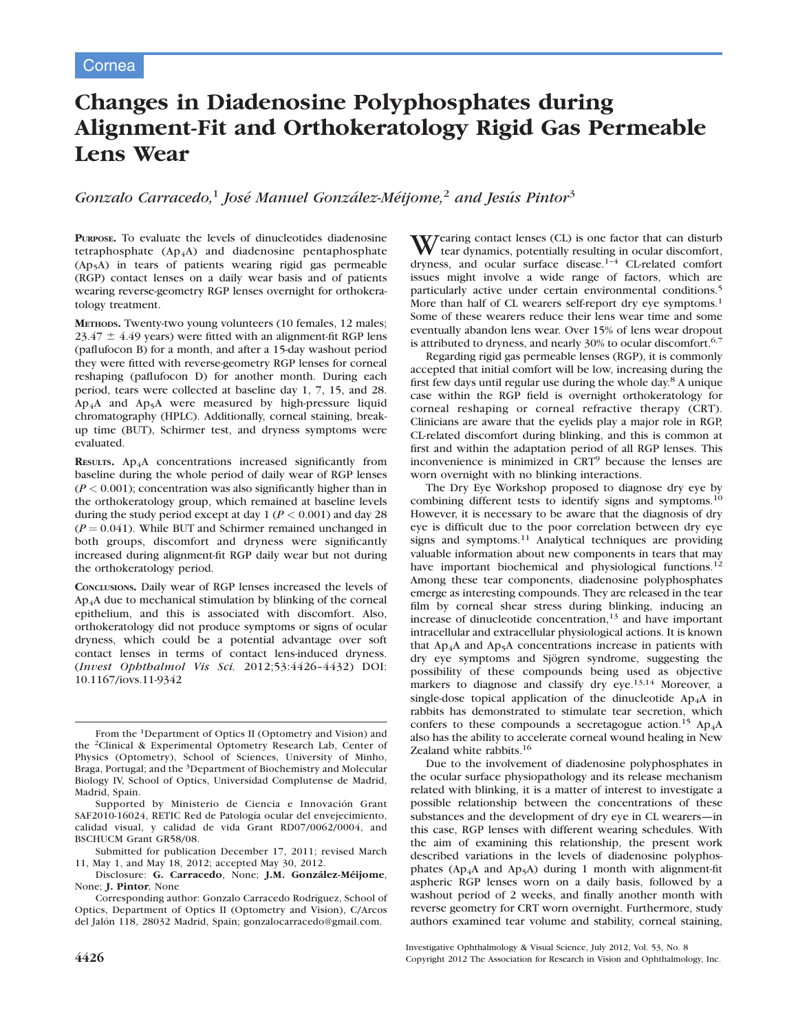# Changes in Diadenosine Polyphosphates during Alignment-Fit and Orthokeratology Rigid Gas Permeable Lens Wear

Gonzalo Carracedo,<sup>1</sup> José Manuel González-Méijome,<sup>2</sup> and Jesús Pintor<sup>3</sup>

PURPOSE. To evaluate the levels of dinucleotides diadenosine tetraphosphate  $(Ap_4A)$  and diadenosine pentaphosphate (Ap5A) in tears of patients wearing rigid gas permeable (RGP) contact lenses on a daily wear basis and of patients wearing reverse-geometry RGP lenses overnight for orthokeratology treatment.

METHODS. Twenty-two young volunteers (10 females, 12 males;  $23.47 \pm 4.49$  years) were fitted with an alignment-fit RGP lens (paflufocon B) for a month, and after a 15-day washout period they were fitted with reverse-geometry RGP lenses for corneal reshaping (paflufocon D) for another month. During each period, tears were collected at baseline day 1, 7, 15, and 28.  $Ap<sub>4</sub>A$  and  $Ap<sub>5</sub>A$  were measured by high-pressure liquid chromatography (HPLC). Additionally, corneal staining, breakup time (BUT), Schirmer test, and dryness symptoms were evaluated.

RESULTS. Ap<sub>4</sub>A concentrations increased significantly from baseline during the whole period of daily wear of RGP lenses  $(P < 0.001)$ ; concentration was also significantly higher than in the orthokeratology group, which remained at baseline levels during the study period except at day  $1 (P < 0.001)$  and day 28  $(P = 0.041)$ . While BUT and Schirmer remained unchanged in both groups, discomfort and dryness were significantly increased during alignment-fit RGP daily wear but not during the orthokeratology period.

CONCLUSIONS. Daily wear of RGP lenses increased the levels of Ap4A due to mechanical stimulation by blinking of the corneal epithelium, and this is associated with discomfort. Also, orthokeratology did not produce symptoms or signs of ocular dryness, which could be a potential advantage over soft contact lenses in terms of contact lens-induced dryness. (Invest Ophthalmol Vis Sci. 2012;53:4426–4432) DOI: 10.1167/iovs.11-9342

Wearing contact lenses (CL) is one factor that can disturb tear dynamics, potentially resulting in ocular discomfort, dryness, and ocular surface disease.1–4 CL-related comfort issues might involve a wide range of factors, which are particularly active under certain environmental conditions.<sup>5</sup> More than half of CL wearers self-report dry eye symptoms.<sup>1</sup> Some of these wearers reduce their lens wear time and some eventually abandon lens wear. Over 15% of lens wear dropout is attributed to dryness, and nearly 30% to ocular discomfort.<sup>6,7</sup>

Regarding rigid gas permeable lenses (RGP), it is commonly accepted that initial comfort will be low, increasing during the first few days until regular use during the whole day.<sup>8</sup> A unique case within the RGP field is overnight orthokeratology for corneal reshaping or corneal refractive therapy (CRT). Clinicians are aware that the eyelids play a major role in RGP, CL-related discomfort during blinking, and this is common at first and within the adaptation period of all RGP lenses. This inconvenience is minimized in CRT<sup>9</sup> because the lenses are worn overnight with no blinking interactions.

The Dry Eye Workshop proposed to diagnose dry eye by combining different tests to identify signs and symptoms.<sup>10</sup> However, it is necessary to be aware that the diagnosis of dry eye is difficult due to the poor correlation between dry eye signs and symptoms.<sup>11</sup> Analytical techniques are providing valuable information about new components in tears that may have important biochemical and physiological functions.<sup>12</sup> Among these tear components, diadenosine polyphosphates emerge as interesting compounds. They are released in the tear film by corneal shear stress during blinking, inducing an increase of dinucleotide concentration, $13$  and have important intracellular and extracellular physiological actions. It is known that  $Ap_4A$  and  $Ap_5A$  concentrations increase in patients with dry eye symptoms and Sjögren syndrome, suggesting the possibility of these compounds being used as objective markers to diagnose and classify dry eye.<sup>13,14</sup> Moreover, a single-dose topical application of the dinucleotide  $Ap_4A$  in rabbits has demonstrated to stimulate tear secretion, which confers to these compounds a secretagogue action.<sup>15</sup> Ap<sub>4</sub>A also has the ability to accelerate corneal wound healing in New Zealand white rabbits.<sup>16</sup>

Due to the involvement of diadenosine polyphosphates in the ocular surface physiopathology and its release mechanism related with blinking, it is a matter of interest to investigate a possible relationship between the concentrations of these substances and the development of dry eye in CL wearers—in this case, RGP lenses with different wearing schedules. With the aim of examining this relationship, the present work described variations in the levels of diadenosine polyphosphates ( $Ap_4A$  and  $Ap_5A$ ) during 1 month with alignment-fit aspheric RGP lenses worn on a daily basis, followed by a washout period of 2 weeks, and finally another month with reverse geometry for CRT worn overnight. Furthermore, study authors examined tear volume and stability, corneal staining,

Investigative Ophthalmology & Visual Science, July 2012, Vol. 53, No. 8 4426 Copyright 2012 The Association for Research in Vision and Ophthalmology, Inc.

From the 1Department of Optics II (Optometry and Vision) and the 2Clinical & Experimental Optometry Research Lab, Center of Physics (Optometry), School of Sciences, University of Minho, Braga, Portugal; and the 3Department of Biochemistry and Molecular Biology IV, School of Optics, Universidad Complutense de Madrid, Madrid, Spain.

Supported by Ministerio de Ciencia e Innovación Grant SAF2010-16024, RETIC Red de Patología ocular del envejecimiento, calidad visual, y calidad de vida Grant RD07/0062/0004, and BSCHUCM Grant GR58/08.

Submitted for publication December 17, 2011; revised March 11, May 1, and May 18, 2012; accepted May 30, 2012.

Disclosure: G. Carracedo, None; J.M. González-Méijome, None; J. Pintor, None

Corresponding author: Gonzalo Carracedo Rodríguez, School of Optics, Department of Optics II (Optometry and Vision), C/Arcos del Jalón 118, 28032 Madrid, Spain; gonzalocarracedo@gmail.com.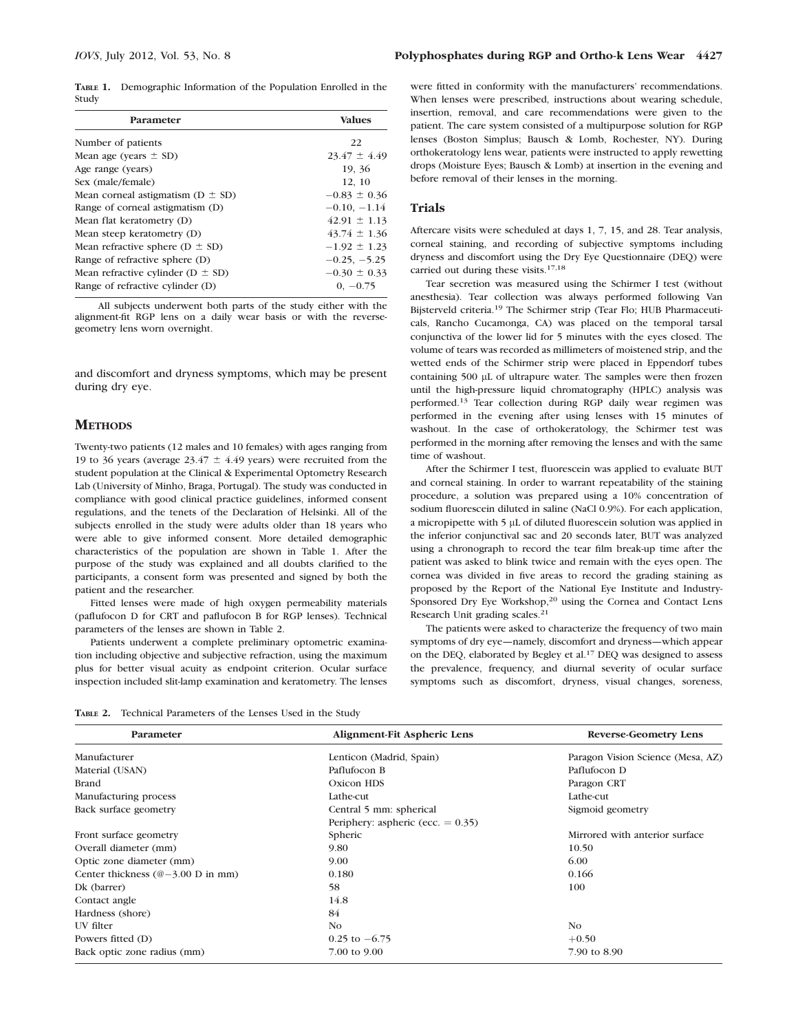TABLE 1. Demographic Information of the Population Enrolled in the Study

| Parameter                               | <b>Values</b>    |
|-----------------------------------------|------------------|
| Number of patients                      | 22               |
| Mean age (years $\pm$ SD)               | $23.47 \pm 4.49$ |
| Age range (years)                       | 19, 36           |
| Sex (male/female)                       | 12, 10           |
| Mean corneal astigmatism ( $D \pm SD$ ) | $-0.83 \pm 0.36$ |
| Range of corneal astigmatism (D)        | $-0.10, -1.14$   |
| Mean flat keratometry (D)               | $42.91 \pm 1.13$ |
| Mean steep keratometry (D)              | $43.74 \pm 1.36$ |
| Mean refractive sphere ( $D \pm SD$ )   | $-1.92 \pm 1.23$ |
| Range of refractive sphere (D)          | $-0.25, -5.25$   |
| Mean refractive cylinder ( $D \pm SD$ ) | $-0.30 \pm 0.33$ |
| Range of refractive cylinder (D)        | $0, -0.75$       |

All subjects underwent both parts of the study either with the alignment-fit RGP lens on a daily wear basis or with the reversegeometry lens worn overnight.

and discomfort and dryness symptoms, which may be present during dry eye.

# **METHODS**

Twenty-two patients (12 males and 10 females) with ages ranging from 19 to 36 years (average  $23.47 \pm 4.49$  years) were recruited from the student population at the Clinical & Experimental Optometry Research Lab (University of Minho, Braga, Portugal). The study was conducted in compliance with good clinical practice guidelines, informed consent regulations, and the tenets of the Declaration of Helsinki. All of the subjects enrolled in the study were adults older than 18 years who were able to give informed consent. More detailed demographic characteristics of the population are shown in Table 1. After the purpose of the study was explained and all doubts clarified to the participants, a consent form was presented and signed by both the patient and the researcher.

Fitted lenses were made of high oxygen permeability materials (paflufocon D for CRT and paflufocon B for RGP lenses). Technical parameters of the lenses are shown in Table 2.

Patients underwent a complete preliminary optometric examination including objective and subjective refraction, using the maximum plus for better visual acuity as endpoint criterion. Ocular surface inspection included slit-lamp examination and keratometry. The lenses

were fitted in conformity with the manufacturers' recommendations. When lenses were prescribed, instructions about wearing schedule, insertion, removal, and care recommendations were given to the patient. The care system consisted of a multipurpose solution for RGP lenses (Boston Simplus; Bausch & Lomb, Rochester, NY). During orthokeratology lens wear, patients were instructed to apply rewetting drops (Moisture Eyes; Bausch & Lomb) at insertion in the evening and before removal of their lenses in the morning.

# Trials

Aftercare visits were scheduled at days 1, 7, 15, and 28. Tear analysis, corneal staining, and recording of subjective symptoms including dryness and discomfort using the Dry Eye Questionnaire (DEQ) were carried out during these visits.17,18

Tear secretion was measured using the Schirmer I test (without anesthesia). Tear collection was always performed following Van Bijsterveld criteria.<sup>19</sup> The Schirmer strip (Tear Flo; HUB Pharmaceuticals, Rancho Cucamonga, CA) was placed on the temporal tarsal conjunctiva of the lower lid for 5 minutes with the eyes closed. The volume of tears was recorded as millimeters of moistened strip, and the wetted ends of the Schirmer strip were placed in Eppendorf tubes containing 500 µL of ultrapure water. The samples were then frozen until the high-pressure liquid chromatography (HPLC) analysis was performed.<sup>13</sup> Tear collection during RGP daily wear regimen was performed in the evening after using lenses with 15 minutes of washout. In the case of orthokeratology, the Schirmer test was performed in the morning after removing the lenses and with the same time of washout.

After the Schirmer I test, fluorescein was applied to evaluate BUT and corneal staining. In order to warrant repeatability of the staining procedure, a solution was prepared using a 10% concentration of sodium fluorescein diluted in saline (NaCl 0.9%). For each application, a micropipette with 5 µL of diluted fluorescein solution was applied in the inferior conjunctival sac and 20 seconds later, BUT was analyzed using a chronograph to record the tear film break-up time after the patient was asked to blink twice and remain with the eyes open. The cornea was divided in five areas to record the grading staining as proposed by the Report of the National Eye Institute and Industry-Sponsored Dry Eye Workshop,<sup>20</sup> using the Cornea and Contact Lens Research Unit grading scales.<sup>21</sup>

The patients were asked to characterize the frequency of two main symptoms of dry eye—namely, discomfort and dryness—which appear on the DEQ, elaborated by Begley et al.<sup>17</sup> DEQ was designed to assess the prevalence, frequency, and diurnal severity of ocular surface symptoms such as discomfort, dryness, visual changes, soreness,

TABLE 2. Technical Parameters of the Lenses Used in the Study

| Parameter                                                           | Alignment-Fit Aspheric Lens          | <b>Reverse-Geometry Lens</b>      |  |
|---------------------------------------------------------------------|--------------------------------------|-----------------------------------|--|
| Manufacturer                                                        | Lenticon (Madrid, Spain)             | Paragon Vision Science (Mesa, AZ) |  |
| Material (USAN)                                                     | Paflufocon B                         | Paflufocon D                      |  |
| Brand                                                               | Oxicon HDS                           | Paragon CRT                       |  |
| Manufacturing process                                               | Lathe-cut                            | Lathe-cut                         |  |
| Back surface geometry                                               | Central 5 mm: spherical              | Sigmoid geometry                  |  |
|                                                                     | Periphery: aspheric (ecc. $= 0.35$ ) |                                   |  |
| Front surface geometry                                              | Spheric                              | Mirrored with anterior surface    |  |
| Overall diameter (mm)                                               | 9.80                                 | 10.50                             |  |
| Optic zone diameter (mm)                                            | 9.00                                 | 6.00                              |  |
| Center thickness $(\textcircled{a} - 3.00 \text{ D} \text{ in mm})$ | 0.180                                | 0.166                             |  |
| Dk (barrer)                                                         | 58                                   | 100                               |  |
| Contact angle                                                       | 14.8                                 |                                   |  |
| Hardness (shore)                                                    | 84                                   |                                   |  |
| UV filter                                                           | N <sub>O</sub>                       | N <sub>O</sub>                    |  |
| Powers fitted (D)                                                   | $0.25$ to $-6.75$                    | $+0.50$                           |  |
| Back optic zone radius (mm)                                         | 7.00 to 9.00                         | 7.90 to 8.90                      |  |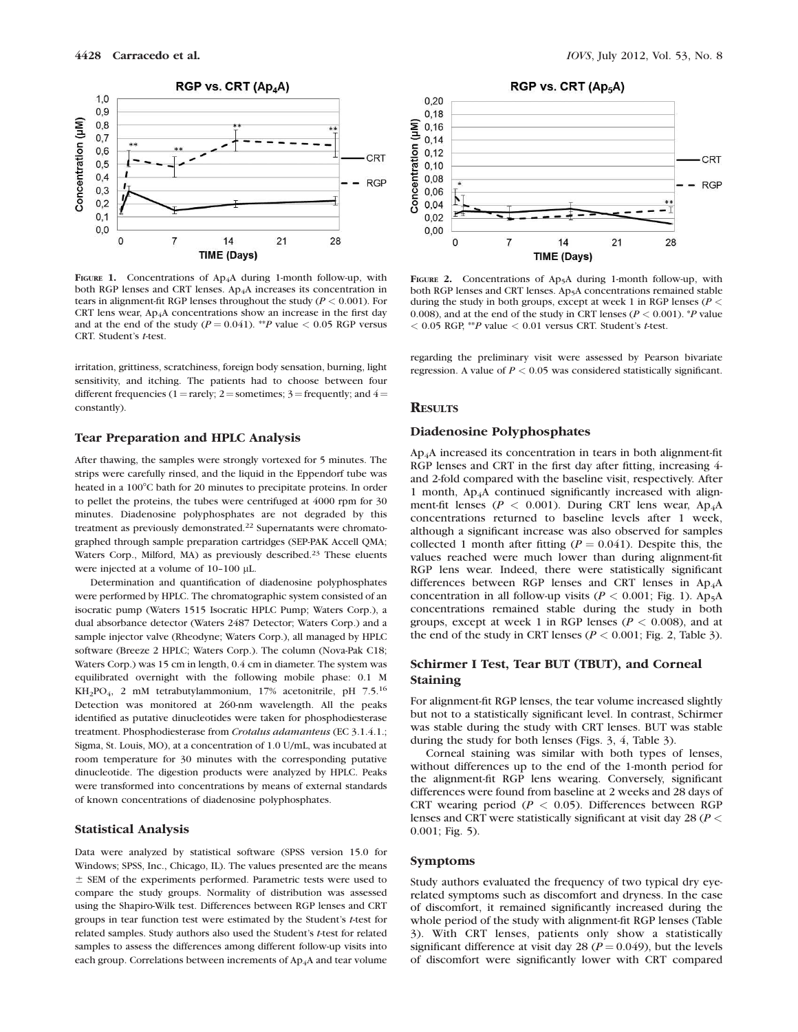

FIGURE 1. Concentrations of Ap<sub>4</sub>A during 1-month follow-up, with both RGP lenses and CRT lenses. Ap<sub>4</sub>A increases its concentration in tears in alignment-fit RGP lenses throughout the study ( $P < 0.001$ ). For CRT lens wear,  $Ap_4A$  concentrations show an increase in the first day and at the end of the study ( $P = 0.041$ ). \*\*P value < 0.05 RGP versus CRT. Student's t-test.

irritation, grittiness, scratchiness, foreign body sensation, burning, light sensitivity, and itching. The patients had to choose between four different frequencies (1 = rarely; 2 = sometimes; 3 = frequently; and  $4 =$ constantly).

# Tear Preparation and HPLC Analysis

After thawing, the samples were strongly vortexed for 5 minutes. The strips were carefully rinsed, and the liquid in the Eppendorf tube was heated in a 100°C bath for 20 minutes to precipitate proteins. In order to pellet the proteins, the tubes were centrifuged at 4000 rpm for 30 minutes. Diadenosine polyphosphates are not degraded by this treatment as previously demonstrated.<sup>22</sup> Supernatants were chromatographed through sample preparation cartridges (SEP-PAK Accell QMA; Waters Corp., Milford, MA) as previously described.<sup>23</sup> These eluents were injected at a volume of  $10-100$  µL.

Determination and quantification of diadenosine polyphosphates were performed by HPLC. The chromatographic system consisted of an isocratic pump (Waters 1515 Isocratic HPLC Pump; Waters Corp.), a dual absorbance detector (Waters 2487 Detector; Waters Corp.) and a sample injector valve (Rheodyne; Waters Corp.), all managed by HPLC software (Breeze 2 HPLC; Waters Corp.). The column (Nova-Pak C18; Waters Corp.) was 15 cm in length, 0.4 cm in diameter. The system was equilibrated overnight with the following mobile phase: 0.1 M KH2PO4, 2 mM tetrabutylammonium, 17% acetonitrile, pH 7.5.16 Detection was monitored at 260-nm wavelength. All the peaks identified as putative dinucleotides were taken for phosphodiesterase treatment. Phosphodiesterase from Crotalus adamanteus (EC 3.1.4.1.; Sigma, St. Louis, MO), at a concentration of 1.0 U/mL, was incubated at room temperature for 30 minutes with the corresponding putative dinucleotide. The digestion products were analyzed by HPLC. Peaks were transformed into concentrations by means of external standards of known concentrations of diadenosine polyphosphates.

# Statistical Analysis

Data were analyzed by statistical software (SPSS version 15.0 for Windows; SPSS, Inc., Chicago, IL). The values presented are the means  $±$  SEM of the experiments performed. Parametric tests were used to compare the study groups. Normality of distribution was assessed using the Shapiro-Wilk test. Differences between RGP lenses and CRT groups in tear function test were estimated by the Student's t-test for related samples. Study authors also used the Student's t-test for related samples to assess the differences among different follow-up visits into each group. Correlations between increments of Ap<sub>4</sub>A and tear volume

RGP vs. CRT (Ap<sub>5</sub>A)  $0.20$  $0,18$ Concentration (µM)  $0,16$  $0,14$  $0,12$ CRT  $0,10$  $0,08$  $-$  RGP  $0,06$  $0,04$  $0,02$  $0,00$  $\Omega$  $\overline{7}$ 28 14  $21$ **TIME (Days)** 

FIGURE 2. Concentrations of Ap<sub>5</sub>A during 1-month follow-up, with both RGP lenses and CRT lenses. Ap<sub>5</sub>A concentrations remained stable during the study in both groups, except at week 1 in RGP lenses ( $P <$ 0.008), and at the end of the study in CRT lenses ( $P < 0.001$ ). *\*P* value  $< 0.05$  RGP, \*\*P value  $< 0.01$  versus CRT. Student's t-test.

regarding the preliminary visit were assessed by Pearson bivariate regression. A value of  $P < 0.05$  was considered statistically significant.

# **RESULTS**

## Diadenosine Polyphosphates

Ap4A increased its concentration in tears in both alignment-fit RGP lenses and CRT in the first day after fitting, increasing 4 and 2-fold compared with the baseline visit, respectively. After 1 month,  $Ap<sub>4</sub>A$  continued significantly increased with alignment-fit lenses ( $P < 0.001$ ). During CRT lens wear, Ap<sub>4</sub>A concentrations returned to baseline levels after 1 week, although a significant increase was also observed for samples collected 1 month after fitting ( $P = 0.041$ ). Despite this, the values reached were much lower than during alignment-fit RGP lens wear. Indeed, there were statistically significant differences between RGP lenses and CRT lenses in Ap<sub>4</sub>A concentration in all follow-up visits ( $P < 0.001$ ; Fig. 1). Ap<sub>5</sub>A concentrations remained stable during the study in both groups, except at week 1 in RGP lenses ( $P < 0.008$ ), and at the end of the study in CRT lenses ( $P < 0.001$ ; Fig. 2, Table 3).

# Schirmer I Test, Tear BUT (TBUT), and Corneal Staining

For alignment-fit RGP lenses, the tear volume increased slightly but not to a statistically significant level. In contrast, Schirmer was stable during the study with CRT lenses. BUT was stable during the study for both lenses (Figs. 3, 4, Table 3).

Corneal staining was similar with both types of lenses, without differences up to the end of the 1-month period for the alignment-fit RGP lens wearing. Conversely, significant differences were found from baseline at 2 weeks and 28 days of CRT wearing period ( $P < 0.05$ ). Differences between RGP lenses and CRT were statistically significant at visit day 28 (P < 0.001; Fig. 5).

### Symptoms

Study authors evaluated the frequency of two typical dry eyerelated symptoms such as discomfort and dryness. In the case of discomfort, it remained significantly increased during the whole period of the study with alignment-fit RGP lenses (Table 3). With CRT lenses, patients only show a statistically significant difference at visit day 28 ( $P = 0.049$ ), but the levels of discomfort were significantly lower with CRT compared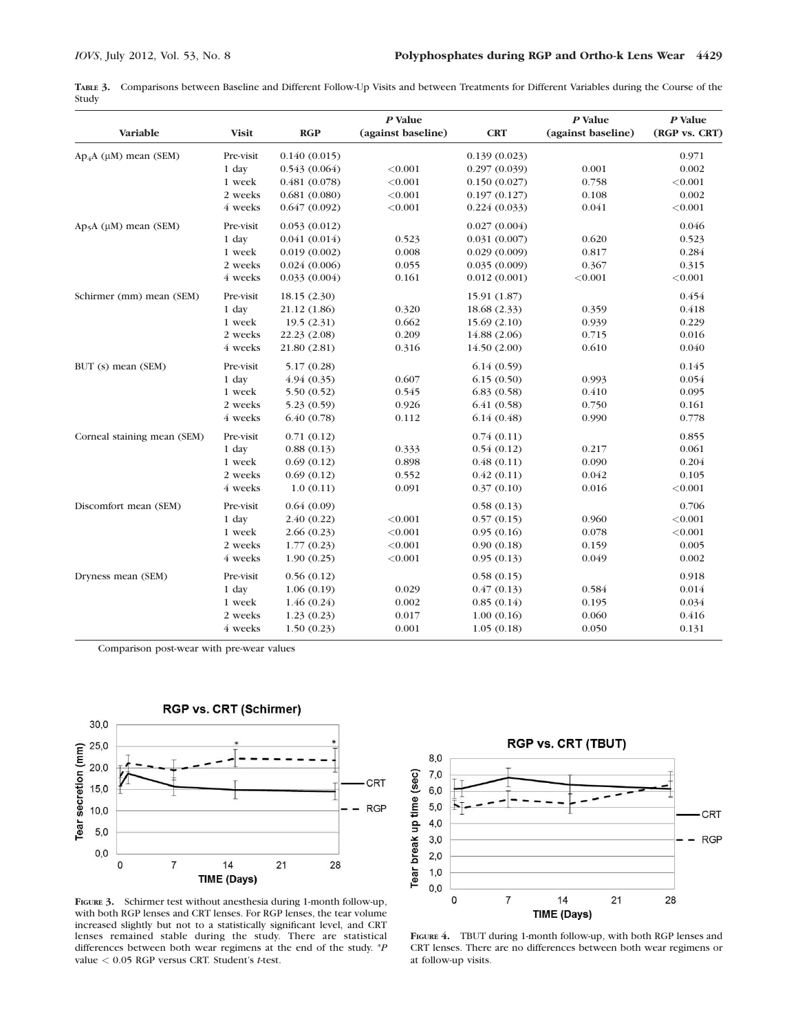TABLE 3. Comparisons between Baseline and Different Follow-Up Visits and between Treatments for Different Variables during the Course of the Study

|                              |              |              | P Value            |              | P Value            | $P$ Value     |
|------------------------------|--------------|--------------|--------------------|--------------|--------------------|---------------|
| Variable                     | <b>Visit</b> | RGP          | (against baseline) | <b>CRT</b>   | (against baseline) | (RGP vs. CRT) |
| $Ap_4A (\mu M)$ mean (SEM)   | Pre-visit    | 0.140(0.015) |                    | 0.139(0.023) |                    | 0.971         |
|                              | 1 day        | 0.543(0.064) | < 0.001            | 0.297(0.039) | 0.001              | 0.002         |
|                              | 1 week       | 0.481(0.078) | < 0.001            | 0.150(0.027) | 0.758              | < 0.001       |
|                              | 2 weeks      | 0.681(0.080) | < 0.001            | 0.197(0.127) | 0.108              | 0.002         |
|                              | 4 weeks      | 0.647(0.092) | < 0.001            | 0.224(0.033) | 0.041              | < 0.001       |
| $Ap5A$ ( $\mu$ M) mean (SEM) | Pre-visit    | 0.053(0.012) |                    | 0.027(0.004) |                    | 0.046         |
|                              | 1 day        | 0.041(0.014) | 0.523              | 0.031(0.007) | 0.620              | 0.523         |
|                              | 1 week       | 0.019(0.002) | 0.008              | 0.029(0.009) | 0.817              | 0.284         |
|                              | 2 weeks      | 0.024(0.006) | 0.055              | 0.035(0.009) | 0.367              | 0.315         |
|                              | 4 weeks      | 0.033(0.004) | 0.161              | 0.012(0.001) | < 0.001            | < 0.001       |
| Schirmer (mm) mean (SEM)     | Pre-visit    | 18.15 (2.30) |                    | 15.91 (1.87) |                    | 0.454         |
|                              | 1 day        | 21.12 (1.86) | 0.320              | 18.68 (2.33) | 0.359              | 0.418         |
|                              | 1 week       | 19.5(2.31)   | 0.662              | 15.69(2.10)  | 0.939              | 0.229         |
|                              | 2 weeks      | 22.23 (2.08) | 0.209              | 14.88 (2.06) | 0.715              | 0.016         |
|                              | 4 weeks      | 21.80 (2.81) | 0.316              | 14.50(2.00)  | 0.610              | 0.040         |
| BUT (s) mean (SEM)           | Pre-visit    | 5.17(0.28)   |                    | 6.14(0.59)   |                    | 0.145         |
|                              | 1 day        | 4.94(0.35)   | 0.607              | 6.15(0.50)   | 0.993              | 0.054         |
|                              | 1 week       | 5.50(0.52)   | 0.545              | 6.83(0.58)   | 0.410              | 0.095         |
|                              | 2 weeks      | 5.23(0.59)   | 0.926              | 6.41(0.58)   | 0.750              | 0.161         |
|                              | 4 weeks      | 6.40(0.78)   | 0.112              | 6.14(0.48)   | 0.990              | 0.778         |
| Corneal staining mean (SEM)  | Pre-visit    | 0.71(0.12)   |                    | 0.74(0.11)   |                    | 0.855         |
|                              | 1 day        | 0.88(0.13)   | 0.333              | 0.54(0.12)   | 0.217              | 0.061         |
|                              | 1 week       | 0.69(0.12)   | 0.898              | 0.48(0.11)   | 0.090              | 0.204         |
|                              | 2 weeks      | 0.69(0.12)   | 0.552              | 0.42(0.11)   | 0.042              | 0.105         |
|                              | 4 weeks      | 1.0(0.11)    | 0.091              | 0.37(0.10)   | 0.016              | < 0.001       |
| Discomfort mean (SEM)        | Pre-visit    | 0.64(0.09)   |                    | 0.58(0.13)   |                    | 0.706         |
|                              | 1 day        | 2.40(0.22)   | < 0.001            | 0.57(0.15)   | 0.960              | < 0.001       |
|                              | 1 week       | 2.66(0.23)   | < 0.001            | 0.95(0.16)   | 0.078              | < 0.001       |
|                              | 2 weeks      | 1.77(0.23)   | < 0.001            | 0.90(0.18)   | 0.159              | 0.005         |
|                              | 4 weeks      | 1.90(0.25)   | < 0.001            | 0.95(0.13)   | 0.049              | 0.002         |
| Dryness mean (SEM)           | Pre-visit    | 0.56(0.12)   |                    | 0.58(0.15)   |                    | 0.918         |
|                              | 1 day        | 1.06(0.19)   | 0.029              | 0.47(0.13)   | 0.584              | 0.014         |
|                              | 1 week       | 1.46(0.24)   | 0.002              | 0.85(0.14)   | 0.195              | 0.034         |
|                              | 2 weeks      | 1.23(0.23)   | 0.017              | 1.00(0.16)   | 0.060              | 0.416         |
|                              | 4 weeks      | 1.50(0.23)   | 0.001              | 1.05(0.18)   | 0.050              | 0.131         |

Comparison post-wear with pre-wear values



FIGURE 3. Schirmer test without anesthesia during 1-month follow-up, with both RGP lenses and CRT lenses. For RGP lenses, the tear volume increased slightly but not to a statistically significant level, and CRT lenses remained stable during the study. There are statistical differences between both wear regimens at the end of the study. \*P value  $< 0.05$  RGP versus CRT. Student's t-test.



FIGURE 4. TBUT during 1-month follow-up, with both RGP lenses and CRT lenses. There are no differences between both wear regimens or at follow-up visits.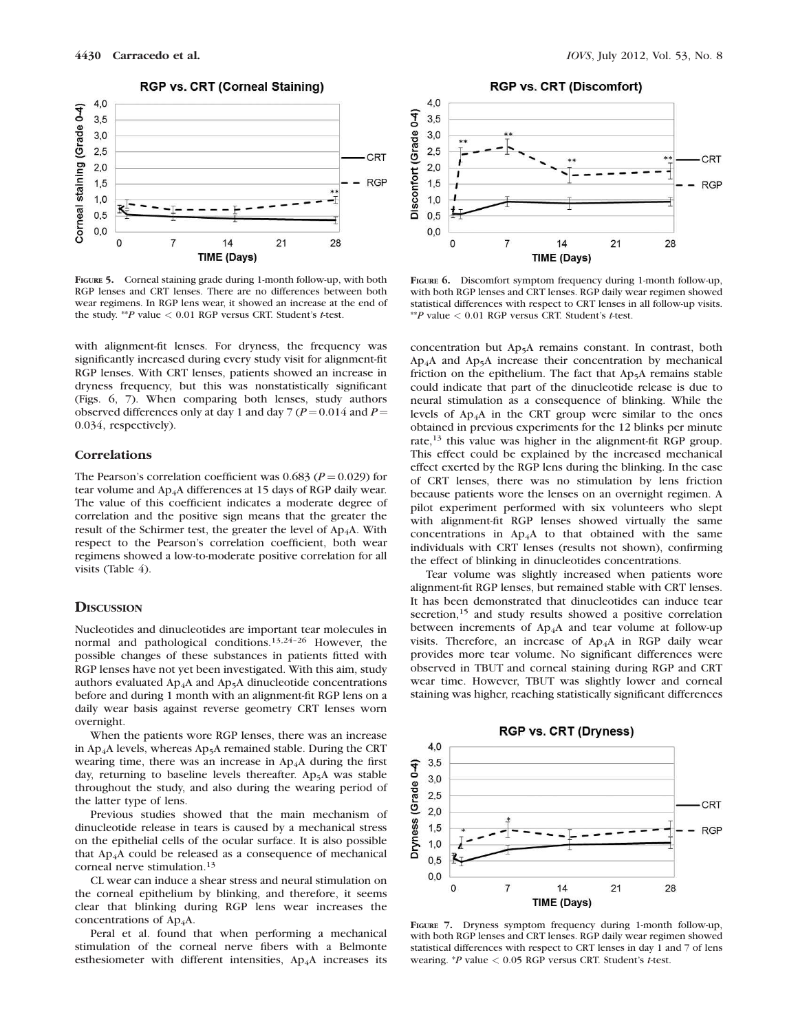

FIGURE 5. Corneal staining grade during 1-month follow-up, with both RGP lenses and CRT lenses. There are no differences between both wear regimens. In RGP lens wear, it showed an increase at the end of the study. \*\* P value  $< 0.01$  RGP versus CRT. Student's t-test.

with alignment-fit lenses. For dryness, the frequency was significantly increased during every study visit for alignment-fit RGP lenses. With CRT lenses, patients showed an increase in dryness frequency, but this was nonstatistically significant (Figs. 6, 7). When comparing both lenses, study authors observed differences only at day 1 and day 7 ( $P = 0.014$  and  $P =$ 0.034, respectively).

# **Correlations**

The Pearson's correlation coefficient was 0.683 ( $P = 0.029$ ) for tear volume and Ap<sub>4</sub>A differences at 15 days of RGP daily wear. The value of this coefficient indicates a moderate degree of correlation and the positive sign means that the greater the result of the Schirmer test, the greater the level of  $Ap<sub>4</sub>A$ . With respect to the Pearson's correlation coefficient, both wear regimens showed a low-to-moderate positive correlation for all visits (Table 4).

# **DISCUSSION**

Nucleotides and dinucleotides are important tear molecules in normal and pathological conditions.13,24–26 However, the possible changes of these substances in patients fitted with RGP lenses have not yet been investigated. With this aim, study authors evaluated  $Ap_4A$  and  $Ap_5A$  dinucleotide concentrations before and during 1 month with an alignment-fit RGP lens on a daily wear basis against reverse geometry CRT lenses worn overnight.

When the patients wore RGP lenses, there was an increase in Ap<sub>4</sub>A levels, whereas Ap<sub>5</sub>A remained stable. During the CRT wearing time, there was an increase in  $Ap<sub>4</sub>A$  during the first day, returning to baseline levels thereafter. Ap<sub>5</sub>A was stable throughout the study, and also during the wearing period of the latter type of lens.

Previous studies showed that the main mechanism of dinucleotide release in tears is caused by a mechanical stress on the epithelial cells of the ocular surface. It is also possible that Ap4A could be released as a consequence of mechanical corneal nerve stimulation.<sup>13</sup>

CL wear can induce a shear stress and neural stimulation on the corneal epithelium by blinking, and therefore, it seems clear that blinking during RGP lens wear increases the concentrations of Ap<sub>4</sub>A.

Peral et al. found that when performing a mechanical stimulation of the corneal nerve fibers with a Belmonte esthesiometer with different intensities, Ap<sub>4</sub>A increases its



FIGURE 6. Discomfort symptom frequency during 1-month follow-up, with both RGP lenses and CRT lenses. RGP daily wear regimen showed statistical differences with respect to CRT lenses in all follow-up visits. \*\*P value  $< 0.01$  RGP versus CRT. Student's t-test.

concentration but Ap5A remains constant. In contrast, both  $Ap<sub>4</sub>A$  and  $Ap<sub>5</sub>A$  increase their concentration by mechanical friction on the epithelium. The fact that  $Ap<sub>5</sub>A$  remains stable could indicate that part of the dinucleotide release is due to neural stimulation as a consequence of blinking. While the levels of Ap4A in the CRT group were similar to the ones obtained in previous experiments for the 12 blinks per minute rate,<sup>13</sup> this value was higher in the alignment-fit RGP group. This effect could be explained by the increased mechanical effect exerted by the RGP lens during the blinking. In the case of CRT lenses, there was no stimulation by lens friction because patients wore the lenses on an overnight regimen. A pilot experiment performed with six volunteers who slept with alignment-fit RGP lenses showed virtually the same concentrations in  $Ap_4A$  to that obtained with the same individuals with CRT lenses (results not shown), confirming the effect of blinking in dinucleotides concentrations.

Tear volume was slightly increased when patients wore alignment-fit RGP lenses, but remained stable with CRT lenses. It has been demonstrated that dinucleotides can induce tear secretion,<sup>15</sup> and study results showed a positive correlation between increments of  $Ap<sub>4</sub>A$  and tear volume at follow-up visits. Therefore, an increase of Ap4A in RGP daily wear provides more tear volume. No significant differences were observed in TBUT and corneal staining during RGP and CRT wear time. However, TBUT was slightly lower and corneal staining was higher, reaching statistically significant differences



FIGURE 7. Dryness symptom frequency during 1-month follow-up, with both RGP lenses and CRT lenses. RGP daily wear regimen showed statistical differences with respect to CRT lenses in day 1 and 7 of lens wearing.  $*P$  value  $< 0.05$  RGP versus CRT. Student's t-test.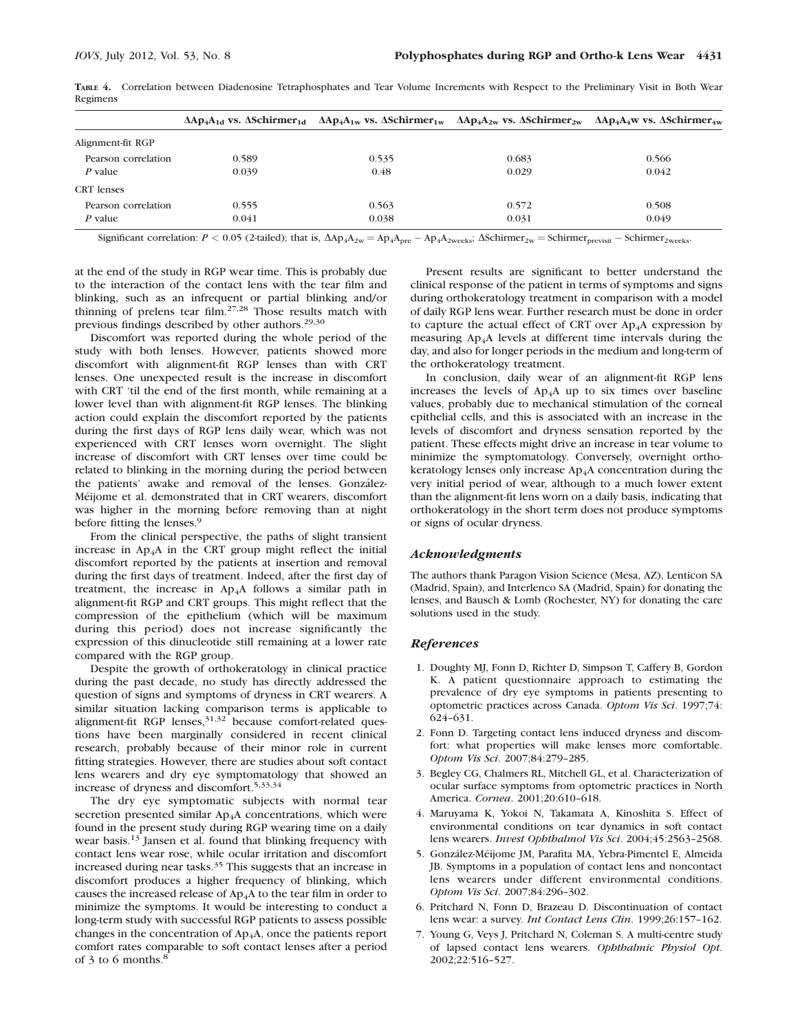|                     |       | $\Delta Ap_4A_{1d}$ vs. $\Delta Schirmer_{1d}$ $\Delta Ap_4A_{1w}$ vs. $\Delta Schirmer_{1w}$ $\Delta Ap_4A_{2w}$ vs. $\Delta Schirmer_{2w}$ $\Delta Ap_4A_4w$ vs. $\Delta Schirmer_{4w}$ |       |       |
|---------------------|-------|-------------------------------------------------------------------------------------------------------------------------------------------------------------------------------------------|-------|-------|
| Alignment-fit RGP   |       |                                                                                                                                                                                           |       |       |
| Pearson correlation | 0.589 | 0.535                                                                                                                                                                                     | 0.683 | 0.566 |
| P value             | 0.039 | 0.48                                                                                                                                                                                      | 0.029 | 0.042 |
| <b>CRT</b> lenses   |       |                                                                                                                                                                                           |       |       |
| Pearson correlation | 0.555 | 0.563                                                                                                                                                                                     | 0.572 | 0.508 |
| P value             | 0.041 | 0.038                                                                                                                                                                                     | 0.031 | 0.049 |

TABLE 4. Correlation between Diadenosine Tetraphosphates and Tear Volume Increments with Respect to the Preliminary Visit in Both Wear Regimens

Significant correlation:  $P < 0.05$  (2-tailed); that is,  $\Delta Ap_4A_{2w} = Ap_4A_{2w}$   $\Delta Ap_{2w}$   $\Delta Schirmer_{2w} = Schirmer_{previsit} - Schirmer_{2weks}$ 

at the end of the study in RGP wear time. This is probably due to the interaction of the contact lens with the tear film and blinking, such as an infrequent or partial blinking and/or thinning of prelens tear film.27,28 Those results match with previous findings described by other authors.29,30

Discomfort was reported during the whole period of the study with both lenses. However, patients showed more discomfort with alignment-fit RGP lenses than with CRT lenses. One unexpected result is the increase in discomfort with CRT 'til the end of the first month, while remaining at a lower level than with alignment-fit RGP lenses. The blinking action could explain the discomfort reported by the patients during the first days of RGP lens daily wear, which was not experienced with CRT lenses worn overnight. The slight increase of discomfort with CRT lenses over time could be related to blinking in the morning during the period between the patients' awake and removal of the lenses. González-Méijome et al. demonstrated that in CRT wearers, discomfort was higher in the morning before removing than at night before fitting the lenses.<sup>9</sup>

From the clinical perspective, the paths of slight transient increase in  $Ap_4A$  in the CRT group might reflect the initial discomfort reported by the patients at insertion and removal during the first days of treatment. Indeed, after the first day of treatment, the increase in  $Ap<sub>4</sub>A$  follows a similar path in alignment-fit RGP and CRT groups. This might reflect that the compression of the epithelium (which will be maximum during this period) does not increase significantly the expression of this dinucleotide still remaining at a lower rate compared with the RGP group.

Despite the growth of orthokeratology in clinical practice during the past decade, no study has directly addressed the question of signs and symptoms of dryness in CRT wearers. A similar situation lacking comparison terms is applicable to alignment-fit RGP lenses,  $31,32$  because comfort-related questions have been marginally considered in recent clinical research, probably because of their minor role in current fitting strategies. However, there are studies about soft contact lens wearers and dry eye symptomatology that showed an increase of dryness and discomfort.5,33,34

The dry eye symptomatic subjects with normal tear secretion presented similar Ap<sub>4</sub>A concentrations, which were found in the present study during RGP wearing time on a daily wear basis.<sup>13</sup> Jansen et al. found that blinking frequency with contact lens wear rose, while ocular irritation and discomfort increased during near tasks.<sup>35</sup> This suggests that an increase in discomfort produces a higher frequency of blinking, which causes the increased release of  $Ap_4A$  to the tear film in order to minimize the symptoms. It would be interesting to conduct a long-term study with successful RGP patients to assess possible changes in the concentration of Ap4A, once the patients report comfort rates comparable to soft contact lenses after a period of 3 to 6 months.<sup>8</sup>

Present results are significant to better understand the clinical response of the patient in terms of symptoms and signs during orthokeratology treatment in comparison with a model of daily RGP lens wear. Further research must be done in order to capture the actual effect of CRT over  $Ap<sub>4</sub>A$  expression by measuring Ap4A levels at different time intervals during the day, and also for longer periods in the medium and long-term of the orthokeratology treatment.

In conclusion, daily wear of an alignment-fit RGP lens increases the levels of  $Ap_4A$  up to six times over baseline values, probably due to mechanical stimulation of the corneal epithelial cells, and this is associated with an increase in the levels of discomfort and dryness sensation reported by the patient. These effects might drive an increase in tear volume to minimize the symptomatology. Conversely, overnight orthokeratology lenses only increase Ap4A concentration during the very initial period of wear, although to a much lower extent than the alignment-fit lens worn on a daily basis, indicating that orthokeratology in the short term does not produce symptoms or signs of ocular dryness.

#### Acknowledgments

The authors thank Paragon Vision Science (Mesa, AZ), Lenticon SA (Madrid, Spain), and Interlenco SA (Madrid, Spain) for donating the lenses, and Bausch & Lomb (Rochester, NY) for donating the care solutions used in the study.

#### References

- 1. Doughty MJ, Fonn D, Richter D, Simpson T, Caffery B, Gordon K. A patient questionnaire approach to estimating the prevalence of dry eye symptoms in patients presenting to optometric practices across Canada. Optom Vis Sci. 1997;74: 624–631.
- 2. Fonn D. Targeting contact lens induced dryness and discomfort: what properties will make lenses more comfortable. Optom Vis Sci. 2007;84:279–285.
- 3. Begley CG, Chalmers RL, Mitchell GL, et al. Characterization of ocular surface symptoms from optometric practices in North America. Cornea. 2001;20:610–618.
- 4. Maruyama K, Yokoi N, Takamata A, Kinoshita S. Effect of environmental conditions on tear dynamics in soft contact lens wearers. Invest Ophthalmol Vis Sci. 2004;45:2563–2568.
- 5. González-Méijome JM, Parafita MA, Yebra-Pimentel E, Almeida JB. Symptoms in a population of contact lens and noncontact lens wearers under different environmental conditions. Optom Vis Sci. 2007;84:296–302.
- 6. Pritchard N, Fonn D, Brazeau D. Discontinuation of contact lens wear: a survey. Int Contact Lens Clin. 1999;26:157–162.
- 7. Young G, Veys J, Pritchard N, Coleman S. A multi-centre study of lapsed contact lens wearers. Ophthalmic Physiol Opt. 2002;22:516–527.